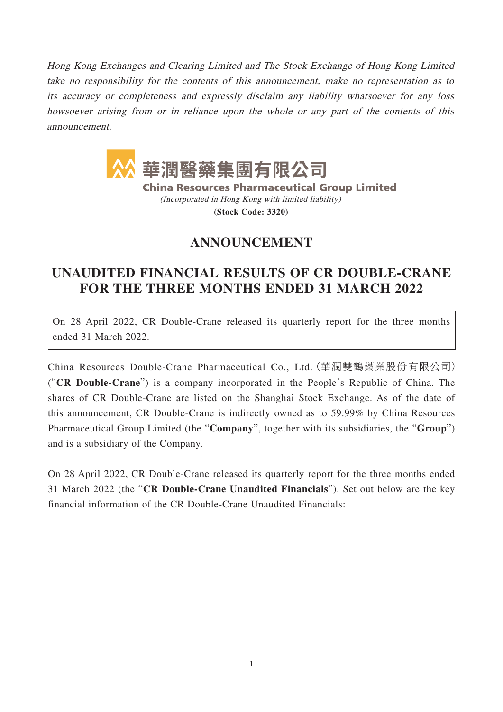Hong Kong Exchanges and Clearing Limited and The Stock Exchange of Hong Kong Limited take no responsibility for the contents of this announcement, make no representation as to its accuracy or completeness and expressly disclaim any liability whatsoever for any loss howsoever arising from or in reliance upon the whole or any part of the contents of this announcement.



**China Resources Pharmaceutical Group Limited** (Incorporated in Hong Kong with limited liability)

**(Stock Code: 3320)**

## **ANNOUNCEMENT**

## **UNAUDITED FINANCIAL RESULTS OF CR DOUBLE-CRANE FOR THE THREE MONTHS ENDED 31 MARCH 2022**

On 28 April 2022, CR Double-Crane released its quarterly report for the three months ended 31 March 2022.

China Resources Double-Crane Pharmaceutical Co., Ltd.(華潤雙鶴藥業股份有限公司) ("**CR Double-Crane**") is a company incorporated in the People's Republic of China. The shares of CR Double-Crane are listed on the Shanghai Stock Exchange. As of the date of this announcement, CR Double-Crane is indirectly owned as to 59.99% by China Resources Pharmaceutical Group Limited (the "**Company**", together with its subsidiaries, the "**Group**") and is a subsidiary of the Company.

On 28 April 2022, CR Double-Crane released its quarterly report for the three months ended 31 March 2022 (the "**CR Double-Crane Unaudited Financials**"). Set out below are the key financial information of the CR Double-Crane Unaudited Financials: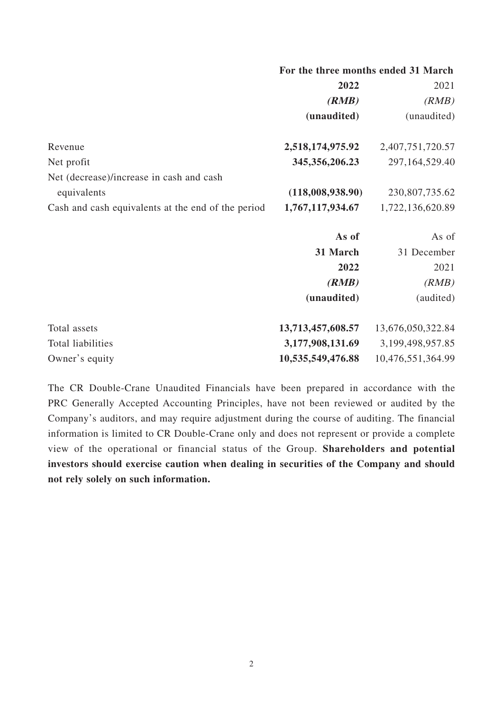|                                                    | 2022              | 2021              |
|----------------------------------------------------|-------------------|-------------------|
|                                                    | (RMB)             | (RMB)             |
|                                                    | (unaudited)       | (unaudited)       |
| Revenue                                            | 2,518,174,975.92  | 2,407,751,720.57  |
| Net profit                                         | 345, 356, 206. 23 | 297,164,529.40    |
| Net (decrease)/increase in cash and cash           |                   |                   |
| equivalents                                        | (118,008,938.90)  | 230,807,735.62    |
| Cash and cash equivalents at the end of the period | 1,767,117,934.67  | 1,722,136,620.89  |
|                                                    | As of             | As of             |
|                                                    | 31 March          | 31 December       |
|                                                    | 2022              | 2021              |
|                                                    | (RMB)             | (RMB)             |
|                                                    | (unaudited)       | (audited)         |
| Total assets                                       | 13,713,457,608.57 | 13,676,050,322.84 |
| Total liabilities                                  | 3,177,908,131.69  | 3,199,498,957.85  |
| Owner's equity                                     | 10,535,549,476.88 | 10,476,551,364.99 |

**For the three months ended 31 March**

The CR Double-Crane Unaudited Financials have been prepared in accordance with the PRC Generally Accepted Accounting Principles, have not been reviewed or audited by the Company's auditors, and may require adjustment during the course of auditing. The financial information is limited to CR Double-Crane only and does not represent or provide a complete view of the operational or financial status of the Group. **Shareholders and potential investors should exercise caution when dealing in securities of the Company and should not rely solely on such information.**